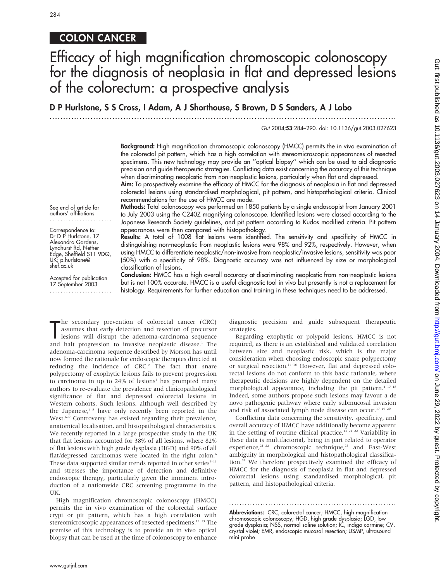# 284

# COLON CANCER

# Efficacy of high magnification chromoscopic colonoscopy for the diagnosis of neoplasia in flat and depressed lesions of the colorectum: a prospective analysis

D P Hurlstone, S S Cross, I Adam, A J Shorthouse, S Brown, D S Sanders, A J Lobo

.............................................................................................................................. .

Gut 2004;53:284–290. doi: 10.1136/gut.2003.027623

Background: High magnification chromoscopic colonoscopy (HMCC) permits the in vivo examination of the colorectal pit pattern, which has a high correlation with stereomicroscopic appearances of resected specimens. This new technology may provide an ''optical biopsy'' which can be used to aid diagnostic precision and guide therapeutic strategies. Conflicting data exist concerning the accuracy of this technique when discriminating neoplastic from non-neoplastic lesions, particularly when flat and depressed.

Aim: To prospectively examine the efficacy of HMCC for the diagnosis of neoplasia in flat and depressed colorectal lesions using standardised morphological, pit pattern, and histopathological criteria. Clinical recommendations for the use of HMCC are made.

Methods: Total colonoscopy was performed on 1850 patients by a single endoscopist from January 2001 to July 2003 using the C240Z magnifying colonoscope. Identified lesions were classed according to the Japanese Research Society guidelines, and pit pattern according to Kudos modified criteria. Pit pattern appearances were then compared with histopathology.

Results: A total of 1008 flat lesions were identified. The sensitivity and specificity of HMCC in distinguishing non-neoplastic from neoplastic lesions were 98% and 92%, respectively. However, when using HMCC to differentiate neoplastic/non-invasive from neoplastic/invasive lesions, sensitivity was poor (50%) with a specificity of 98%. Diagnostic accuracy was not influenced by size or morphological classification of lesions.

Conclusion: HMCC has a high overall accuracy at discriminating neoplastic from non-neoplastic lesions but is not 100% accurate. HMCC is a useful diagnostic tool in vivo but presently is not a replacement for histology. Requirements for further education and training in these techniques need to be addressed.

See end of article for authors' affiliations .......................

Correspondence to: Dr D P Hurlstone, 17 Alexandra Gardens, Lyndhurst Rd, Nether Edge, Sheffield S11 9DQ, UK; p.hurlstone@ shef.ac.uk

Accepted for publication 17 September 2003 .......................

The secondary prevention of colorectal cancer (CRC)<br>assumes that early detection and resection of precursor<br>lesions will disrupt the adenoma-carcinoma sequence<br>and halt progression to invasive neoplastic disease.<sup>1</sup> The he secondary prevention of colorectal cancer (CRC) assumes that early detection and resection of precursor lesions will disrupt the adenoma-carcinoma sequence adenoma-carcinoma sequence described by Morson has until now formed the rationale for endoscopic therapies directed at reducing the incidence of CRC.<sup>2</sup> The fact that snare polypectomy of exophytic lesions fails to prevent progression to carcinoma in up to  $24\%$  of lesions<sup>3</sup> has prompted many authors to re-evaluate the prevalence and clinicopathological significance of flat and depressed colorectal lesions in Western cohorts. Such lesions, although well described by the Japanese,<sup>45</sup> have only recently been reported in the West.<sup>6–9</sup> Controversy has existed regarding their prevalence, anatomical localisation, and histopathological characteristics. We recently reported in a large prospective study in the UK that flat lesions accounted for 38% of all lesions, where 82% of flat lesions with high grade dysplasia (HGD) and 90% of all flat/depressed carcinomas were located in the right colon.<sup>6</sup> These data supported similar trends reported in other series $7-11$ and stresses the importance of detection and definitive endoscopic therapy, particularly given the imminent introduction of a nationwide CRC screening programme in the UK.

High magnification chromoscopic colonoscopy (HMCC) permits the in vivo examination of the colorectal surface crypt or pit pattern, which has a high correlation with stereomicroscopic appearances of resected specimens.<sup>12</sup> <sup>13</sup> The premise of this technology is to provide an in vivo optical biopsy that can be used at the time of colonoscopy to enhance

diagnostic precision and guide subsequent therapeutic strategies.

Regarding exophytic or polypoid lesions, HMCC is not required, as there is an established and validated correlation between size and neoplastic risk, which is the major consideration when choosing endoscopic snare polypectomy or surgical resection.<sup>14–16</sup> However, flat and depressed colorectal lesions do not conform to this basic rationale, where therapeutic decisions are highly dependent on the detailed morphological appearance, including the pit pattern.<sup>4 17 18</sup> Indeed, some authors propose such lesions may favour a de novo pathogenic pathway where early submucosal invasion and risk of associated lymph node disease can occur.17 19 20

Conflicting data concerning the sensitivity, specificity, and overall accuracy of HMCC have additionally become apparent in the setting of routine clinical practice.<sup>13</sup><sup>21</sup><sup>22</sup> Variability in these data is multifactorial, being in part related to operator experience, $21 22$  chromoscopic technique, $23$  and East-West ambiguity in morphological and histopathological classification.24 We therefore prospectively examined the efficacy of HMCC for the diagnosis of neoplasia in flat and depressed colorectal lesions using standardised morphological, pit pattern, and histopathological criteria.

Abbreviations: CRC, colorectal cancer; HMCC, high magnification chromoscopic colonoscopy; HGD, high grade dysplasia; LGD, low grade dysplasia; NSS, normal saline solution; IC, indigo carmine; CV, crystal violet; EMR, endoscopic mucosal resection; USMP, ultrasound mini probe

............................................................... .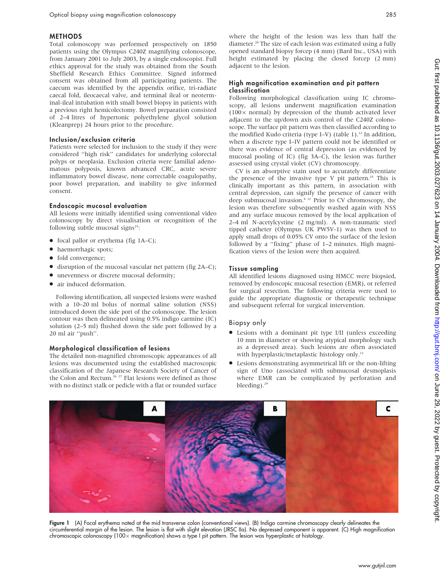## METHODS

Total colonoscopy was performed prospectively on 1850 patients using the Olympus C240Z magnifying colonoscope, from January 2001 to July 2003, by a single endoscopist. Full ethics approval for the study was obtained from the South Sheffield Research Ethics Committee. Signed informed consent was obtained from all participating patients. The caecum was identified by the appendix orifice, tri-radiate caecal fold, ileocaecal valve, and terminal ileal or neoterminal-ileal intubation with small bowel biopsy in patients with a previous right hemicolectomy. Bowel preparation consisted of 2–4 litres of hypertonic polyethylene glycol solution (Kleanprep) 24 hours prior to the procedure.

#### Inclusion/exclusion criteria

Patients were selected for inclusion to the study if they were considered ''high risk'' candidates for underlying colorectal polyps or neoplasia. Exclusion criteria were familial adenomatous polyposis, known advanced CRC, acute severe inflammatory bowel disease, none correctable coagulopathy, poor bowel preparation, and inability to give informed consent.

#### Endoscopic mucosal evaluation

All lesions were initially identified using conventional video colonoscopy by direct visualisation or recognition of the following subtle mucosal signs $25$ :

- focal pallor or erythema (fig 1A–C);
- haemorrhagic spots;
- fold convergence;
- $\bullet$  disruption of the mucosal vascular net pattern (fig 2A–C);
- $\bullet$  unevenness or discrete mucosal deformity;
- $\bullet$  air induced deformation.

Following identification, all suspected lesions were washed with a 10–20 ml bolus of normal saline solution (NSS) introduced down the side port of the colonoscope. The lesion contour was then delineated using 0.5% indigo carmine (IC) solution (2–5 ml) flushed down the side port followed by a 20 ml air ''push''.

#### Morphological classification of lesions

The detailed non-magnified chromoscopic appearances of all lesions was documented using the established macroscopic classification of the Japanese Research Society of Cancer of the Colon and Rectum.<sup>26 27</sup> Flat lesions were defined as those with no distinct stalk or pedicle with a flat or rounded surface

where the height of the lesion was less than half the diameter.<sup>28</sup> The size of each lesion was estimated using a fully opened standard biopsy forcep (4 mm) (Bard Inc., USA) with height estimated by placing the closed forcep (2 mm) adjacent to the lesion.

#### High magnification examination and pit pattern classification

Following morphological classification using IC chromoscopy, all lesions underwent magnification examination (100 $\times$  normal) by depression of the thumb activated lever adjacent to the up/down axis control of the C240Z colonoscope. The surface pit pattern was then classified according to the modified Kudo criteria (type I–V) (table 1).<sup>12</sup> In addition, when a discrete type I–IV pattern could not be identified or there was evidence of central depression (as evidenced by mucosal pooling of IC) (fig 3A–C), the lesion was further assessed using crystal violet (CV) chromoscopy.

CV is an absorptive stain used to accurately differentiate the presence of the invasive type V pit pattern.<sup>25</sup> This is clinically important as this pattern, in association with central depression, can signify the presence of cancer with deep submucosal invasion.<sup>4 12</sup> Prior to CV chromoscopy, the lesion was therefore subsequently washed again with NSS and any surface mucous removed by the local application of 2–4 ml N-acetylcystine (2 mg/ml). A non-traumatic steel tipped catheter (Olympus UK PW5V-1) was then used to apply small drops of 0.05% CV onto the surface of the lesion followed by a ''fixing'' phase of 1–2 minutes. High magnification views of the lesion were then acquired.

#### Tissue sampling

All identified lesions diagnosed using HMCC were biopsied, removed by endoscopic mucosal resection (EMR), or referred for surgical resection. The following criteria were used to guide the appropriate diagnostic or therapeutic technique and subsequent referral for surgical intervention.

## Biopsy only

- N Lesions with a dominant pit type I/II (unless exceeding 10 mm in diameter or showing atypical morphology such as a depressed area). Such lesions are often associated with hyperplastic/metaplastic histology only.<sup>12</sup>
- $\bullet~$  Lesions demonstrating asymmetrical lift or the non-lifting sign of Uno (associated with submucosal desmoplasis where EMR can be complicated by perforation and bleeding).<sup>29</sup>



Figure 1 (A) Focal erythema noted at the mid transverse colon (conventional views). (B) Indigo carmine chromoscopy clearly delineates the circumferential margin of the lesion. The lesion is flat with slight elevation (JRSC IIa). No depressed component is apparent. (C) High magnification chromoscopic colonoscopy (100 $\times$  magnification) shows a type I pit pattern. The lesion was hyperplastic at histology.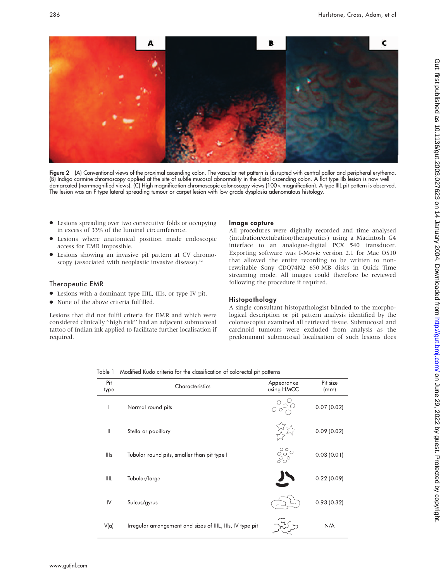

Figure 2 (A) Conventional views of the proximal ascending colon. The vascular net pattern is disrupted with central pallor and peripheral erythema. (B) Indigo carmine chromoscopy applied at the site of subtle mucosal abnormality in the distal ascending colon. A flat type IIb lesion is now well demarcated (non-magnified views). (C) High magnification chromoscopic colonoscopy views ( $100 \times$  magnification). A type IIIL pit pattern is observed. The lesion was an F-type lateral spreading tumour or carpet lesion with low grade dysplasia adenomatous histology.

- Lesions spreading over two consecutive folds or occupying in excess of 33% of the luminal circumference.
- $\bullet$  Lesions where anatomical position made endoscopic access for EMR impossible.
- N Lesions showing an invasive pit pattern at CV chromoscopy (associated with neoplastic invasive disease).<sup>12</sup>

## Therapeutic EMR

- N Lesions with a dominant type IIIL, IIIs, or type IV pit.
- None of the above criteria fulfilled.

Lesions that did not fulfil criteria for EMR and which were considered clinically ''high risk'' had an adjacent submucosal tattoo of Indian ink applied to facilitate further localisation if required.

## Image capture

All procedures were digitally recorded and time analysed (intubation/extubation/therapeutics) using a Macintosh G4 interface to an analogue-digital PCX 540 transducer. Exporting software was I-Movie version 2.1 for Mac OS10 that allowed the entire recording to be written to nonrewritable Sony CDQ74N2 650 MB disks in Quick Time streaming mode. All images could therefore be reviewed following the procedure if required.

## Histopathology

A single consultant histopathologist blinded to the morphological description or pit pattern analysis identified by the colonoscopist examined all retrieved tissue. Submucosal and carcinoid tumours were excluded from analysis as the predominant submucosal localisation of such lesions does

Table 1 Modified Kudo criteria for the classification of colorectal pit patterns

| Pit<br>type  | Characteristics                                            | Appearance<br>using HMCC | Pit size<br>(mm) |
|--------------|------------------------------------------------------------|--------------------------|------------------|
|              | Normal round pits                                          |                          | 0.07(0.02)       |
| $\mathsf{I}$ | Stella or papillary                                        |                          | 0.09(0.02)       |
| Ills         | Tubular round pits, smaller than pit type I                | ွိ<br>၁၁၀                | 0.03(0.01)       |
| IIIL         | Tubular/large                                              |                          | 0.22(0.09)       |
| IV           | Sulcus/gyrus                                               |                          | 0.93(0.32)       |
| $V(\alpha)$  | Irregular arrangement and sizes of IIIL, IIIs, IV type pit |                          | N/A              |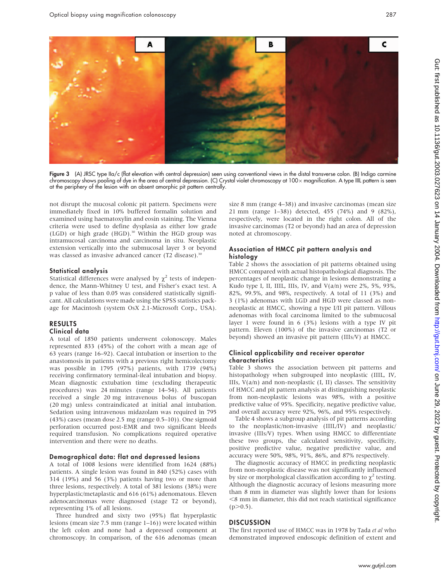

Figure 3 (A) JRSC type IIa/c (flat elevation with central depression) seen using conventional views in the distal transverse colon. (B) Indigo carmine chromoscopy shows pooling ot dye in the area ot central depression. (C) Crystal violet chromoscopy at 100×magnification. A type IIIL pattern is seen at the periphery of the lesion with an absent amorphic pit pattern centrally.

not disrupt the mucosal colonic pit pattern. Specimens were immediately fixed in 10% buffered formalin solution and examined using haematoxylin and eosin staining. The Vienna criteria were used to define dysplasia as either low grade (LGD) or high grade (HGD).<sup>30</sup> Within the HGD group was intramucosal carcinoma and carcinoma in situ. Neoplastic extension vertically into the submucosal layer 3 or beyond was classed as invasive advanced cancer (T2 disease).<sup>30</sup>

### Statistical analysis

Statistical differences were analysed by  $\chi^2$  tests of independence, the Mann-Whitney U test, and Fisher's exact test. A p value of less than 0.05 was considered statistically significant. All calculations were made using the SPSS statistics package for Macintosh (system OsX 2.1-Microsoft Corp., USA).

#### RESULTS Clinical data

A total of 1850 patients underwent colonoscopy. Males represented 833 (45%) of the cohort with a mean age of 63 years (range 16–92). Caecal intubation or insertion to the anastomosis in patients with a previous right hemicolectomy was possible in 1795 (97%) patients, with 1739 (94%) receiving confirmatory terminal-ileal intubation and biopsy. Mean diagnostic extubation time (excluding therapeutic procedures) was 24 minutes (range 14–54). All patients received a single 20 mg intravenous bolus of buscopan (20 mg) unless contraindicated at initial anal intubation. Sedation using intravenous midazolam was required in 795 (43%) cases (mean dose 2.5 mg (range 0.5–10)). One sigmoid perforation occurred post-EMR and two significant bleeds required transfusion. No complications required operative

#### Demographical data: flat and depressed lesions

intervention and there were no deaths.

A total of 1008 lesions were identified from 1624 (88%) patients. A single lesion was found in 840 (52%) cases with 314 (19%) and 56 (3%) patients having two or more than three lesions, respectively. A total of 381 lesions (38%) were hyperplastic/metaplastic and 616 (61%) adenomatous. Eleven adenocarcinomas were diagnosed (stage T2 or beyond), representing 1% of all lesions.

Three hundred and sixty two (95%) flat hyperplastic lesions (mean size 7.5 mm (range 1–16)) were located within the left colon and none had a depressed component at chromoscopy. In comparison, of the 616 adenomas (mean

size 8 mm (range 4–38)) and invasive carcinomas (mean size 21 mm (range 1–38)) detected, 455 (74%) and 9 (82%), respectively, were located in the right colon. All of the invasive carcinomas (T2 or beyond) had an area of depression noted at chromoscopy.

## Association of HMCC pit pattern analysis and histology

Table 2 shows the association of pit patterns obtained using HMCC compared with actual histopathological diagnosis. The percentages of neoplastic change in lesions demonstrating a Kudo type I, II, IIIL, IIIs, IV, and  $V(a/n)$  were 2%, 5%, 93%, 82%, 99.5%, and 98%, respectively. A total of 11 (3%) and 3 (1%) adenomas with LGD and HGD were classed as nonneoplastic at HMCC, showing a type I/II pit pattern. Villous adenomas with focal carcinoma limited to the submucosal layer 1 were found in 6 (3%) lesions with a type IV pit pattern. Eleven (100%) of the invasive carcinomas (T2 or beyond) showed an invasive pit pattern (IIIs/V) at HMCC.

## Clinical applicability and receiver operator characteristics

Table 3 shows the association between pit patterns and histopathology when subgrouped into neoplastic (IIIL, IV, IIIs, V(a/n) and non-neoplastic (I, II) classes. The sensitivity of HMCC and pit pattern analysis at distinguishing neoplastic from non-neoplastic lesions was 98%, with a positive predictive value of 95%. Specificity, negative predictive value, and overall accuracy were 92%, 96%, and 95% respectively.

Table 4 shows a subgroup analysis of pit patterns according to the neoplastic/non-invasive (IIIL/IV) and neoplastic/ invasive (IIIs/V) types. When using HMCC to differentiate these two groups, the calculated sensitivity, specificity, positive predictive value, negative predictive value, and accuracy were 50%, 98%, 91%, 86%, and 87% respectively.

The diagnostic accuracy of HMCC in predicting neoplastic from non-neoplastic disease was not significantly influenced by size or morphological classification according to  $\chi^2$  testing. Although the diagnostic accuracy of lesions measuring more than 8 mm in diameter was slightly lower than for lesions  $<$ 8 mm in diameter, this did not reach statistical significance  $(p>0.5)$ .

## **DISCUSSION**

The first reported use of HMCC was in 1978 by Tada et al who demonstrated improved endoscopic definition of extent and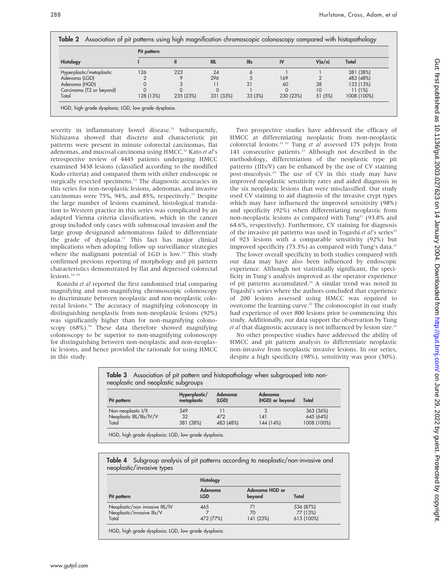|                          | Pit pattern |           |             |             |           |         |             |
|--------------------------|-------------|-----------|-------------|-------------|-----------|---------|-------------|
| Histology                |             |           | <b>IIIL</b> | <b>Ills</b> | IV        | V(a/n)  | Total       |
| Hyperplastic/metaplastic | 126         | 223       | 24          | $\epsilon$  |           |         | 381 (38%)   |
| Adenoma (LGD)            |             |           | 296         |             | 169       |         | 483 (48%)   |
| Adenoma (HGD)            |             |           |             | 21          | 60        | 38      | 133 (13%)   |
| Carcinoma (T2 or beyond) |             |           |             |             |           | 10      | 11(1%)      |
| Total                    | 128 (13%)   | 235 (23%) | 331 (33%)   | 33 (3%)     | 230 (23%) | 51 (5%) | 1008 (100%) |

severity in inflammatory bowel disease.<sup>31</sup> Subsequently, Nishizawa showed that discrete and characteristic pit patterns were present in minute colorectal carcinomas, flat adenomas, and mucosal carcinoma using HMCC.<sup>32</sup> Kato et al's retrospective review of 4445 patients undergoing HMCC examined 3438 lesions (classified according to the modified Kudo criteria) and compared them with either endoscopic or surgically resected specimens.<sup>13</sup> The diagnostic accuracies in this series for non-neoplastic lesions, adenomas, and invasive carcinomas were 75%, 94%, and 85%, respectively.13 Despite the large number of lesions examined, histological translation to Western practice in this series was complicated by an adapted Vienna criteria classification, which in the cancer group included only cases with submucosal invasion and the large group designated adenomatous failed to differentiate the grade of dysplasia.13 This fact has major clinical implications when adopting follow up surveillance strategies where the malignant potential of LGD is low.<sup>33</sup> This study confirmed previous reporting of morphology and pit pattern characteristics demonstrated by flat and depressed colorectal lesions.<sup>34</sup> <sup>35</sup>

Konishi et al reported the first randomised trial comparing magnifying and non-magnifying chromoscopic colonoscopy to discriminate between neoplastic and non-neoplastic colorectal lesions.36 The accuracy of magnifying colonoscopy in distinguishing neoplastic from non-neoplastic lesions (92%) was significantly higher than for non-magnifying colonoscopy  $(68\%)$ .<sup>36</sup> These data therefore showed magnifying colonoscopy to be superior to non-magnifying colonoscopy for distinguishing between non-neoplastic and non-neoplastic lesions, and hence provided the rationale for using HMCC in this study.

Two prospective studies have addressed the efficacy of HMCC at differentiating neoplastic from non-neoplastic colorectal lesions.<sup>21</sup> <sup>22</sup> Tung et al assessed 175 polyps from 141 consecutive patients.<sup>21</sup> Although not described in the methodology, differentiation of the neoplastic type pit patterns (IIIs/V) can be enhanced by the use of CV staining post-mucolysis.25 The use of CV in this study may have improved neoplastic sensitivity rates and aided diagnosis in the six neoplastic lesions that were misclassified. Our study used CV staining to aid diagnosis of the invasive crypt types which may have influenced the improved sensitivity (98%) and specificity (92%) when differentiating neoplastic from non-neoplastic lesions as compared with Tung<sup>21</sup> (93.8% and 64.6%, respectively). Furthermore, CV staining for diagnosis of the invasive pit patterns was used in Togashi et al's series<sup>22</sup> of 923 lesions with a comparable sensitivity (92%) but improved specificity (73.3%) as compared with Tung's data.<sup>21</sup>

The lower overall specificity in both studies compared with our data may have also been influenced by endoscopic experience. Although not statistically significant, the specificity in Tung's analysis improved as the operator experience of pit patterns accumulated.<sup>21</sup> A similar trend was noted in Togashi's series where the authors concluded that experience of 200 lesions assessed using HMCC was required to overcome the learning curve.<sup>22</sup> The colonoscopist in our study had experience of over 800 lesions prior to commencing this study. Additionally, our data support the observation by Tung *et al* that diagnostic accuracy is not influenced by lesion size.<sup>21</sup>

No other prospective studies have addressed the ability of HMCC and pit pattern analysis to differentiate neoplastic non-invasive from neoplastic invasive lesions. In our series, despite a high specificity (98%), sensitivity was poor (50%).

| Pit pattern               | Hyperplastic/<br>metaplastic | Adenoma<br>(LCD) | Adenoma<br>(HGD) or beyond | Total       |
|---------------------------|------------------------------|------------------|----------------------------|-------------|
| Non-neoplastic I/II       | 349                          |                  |                            | 363 (36%)   |
| Neoplastic IIIL/IIIs/IV/V | 32                           | 472              | 141                        | 645 (64%)   |
| Total                     | 381 (38%)                    | 483 (48%)        | 144(14%)                   | 1008 (100%) |

Table 4 Subgroup analysis of pit patterns according to neoplastic/non-invasive and neoplastic/invasive types

|                                 | Histology             |                          |            |
|---------------------------------|-----------------------|--------------------------|------------|
| Pit pattern                     | Adenoma<br><b>LGD</b> | Adenoma HGD or<br>beyond | Total      |
| Neoplastic/non invasive IIIL/IV | 465                   | 71                       | 536 (87%)  |
| Neoplastic/invasive IIIs/V      |                       | 70                       | 77 (13%)   |
| Total                           | 472 (77%)             | 141 (23%)                | 613 (100%) |

HGD, high grade dysplasia; LGD, low grade dysplasia.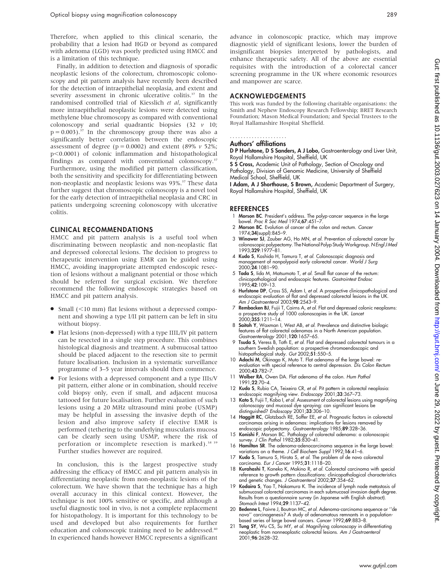Therefore, when applied to this clinical scenario, the probability that a lesion had HGD or beyond as compared with adenoma (LGD) was poorly predicted using HMCC and is a limitation of this technique.

Finally, in addition to detection and diagnosis of sporadic neoplastic lesions of the colorectum, chromoscopic colonoscopy and pit pattern analysis have recently been described for the detection of intraepithelial neoplasia, and extent and severity assessment in chronic ulcerative colitis.<sup>37</sup> In the randomised controlled trial of Kiesslich et al, significantly more intraepithelial neoplastic lesions were detected using methylene blue chromoscopy as compared with conventional colonoscopy and serial quadrantic biopsies (32 v 10;  $p = 0.003$ ).<sup>37</sup> In the chromoscopy group there was also a significantly better correlation between the endoscopic assessment of degree ( $p = 0.0002$ ) and extent (89%  $\nu$  52%;  $p<0.0001$ ) of colonic inflammation and histopathological findings as compared with conventional colonoscopy.<sup>37</sup> Furthermore, using the modified pit pattern classification, both the sensitivity and specificity for differentiating between non-neoplastic and neoplastic lesions was 93%.<sup>37</sup> These data further suggest that chromoscopic colonoscopy is a novel tool for the early detection of intraepithelial neoplasia and CRC in patients undergoing screening colonoscopy with ulcerative colitis.

#### CLINICAL RECOMMENDATIONS

HMCC and pit pattern analysis is a useful tool when discriminating between neoplastic and non-neoplastic flat and depressed colorectal lesions. The decision to progress to therapeutic intervention using EMR can be guided using HMCC, avoiding inappropriate attempted endoscopic resection of lesions without a malignant potential or those which should be referred for surgical excision. We therefore recommend the following endoscopic strategies based on HMCC and pit pattern analysis.

- $\bullet$  Small (<10 mm) flat lesions without a depressed component and showing a type I/II pit pattern can be left in situ without biopsy.
- N Flat lesions (non-depressed) with a type IIIL/IV pit pattern can be resected in a single step procedure. This combines histological diagnosis and treatment. A submucosal tattoo should be placed adjacent to the resection site to permit future localisation. Inclusion in a systematic surveillance programme of 3–5 year intervals should then commence.
- For lesions with a depressed component and a type IIIs/V pit pattern, either alone or in combination, should receive cold biopsy only, even if small, and adjacent mucosa tattooed for future localisation. Further evaluation of such lesions using a 20 MHz ultrasound mini probe (USMP) may be helpful in assessing the invasive depth of the lesion and also improve safety if elective EMR is performed (tethering to the underlying muscularis mucosa can be clearly seen using USMP, where the risk of perforation or incomplete resection is marked).<sup>38 39</sup> Further studies however are required.

In conclusion, this is the largest prospective study addressing the efficacy of HMCC and pit pattern analysis in differentiating neoplastic from non-neoplastic lesions of the colorectum. We have shown that the technique has a high overall accuracy in this clinical context. However, the technique is not 100% sensitive or specific, and although a useful diagnostic tool in vivo, is not a complete replacement for histopathology. It is important for this technology to be used and developed but also requirements for further education and colonoscopic training need to be addressed.<sup>40</sup> In experienced hands however HMCC represents a significant advance in colonoscopic practice, which may improve diagnostic yield of significant lesions, lower the burden of insignificant biopsies interpreted by pathologists, and enhance therapeutic safety. All of the above are essential requisites with the introduction of a colorectal cancer screening programme in the UK where economic resources and manpower are scarce.

#### ACKNOWLEDGEMENTS

This work was funded by the following charitable organisations: the Smith and Nephew Endoscopy Research Fellowship; BRET Research Foundation; Mason Medical Foundation; and Special Trustees to the Royal Hallamashire Hospital Sheffield.

#### Authors' affiliations .....................

D P Hurlstone, D S Sanders, A J Lobo, Gastroenterology and Liver Unit, Royal Hallamshire Hospital, Sheffield, UK

S S Cross, Academic Unit of Pathology, Section of Oncology and Pathology, Division of Genomic Medicine, University of Sheffield Medical School, Sheffield, UK

I Adam, A J Shorthouse, S Brown, Academic Department of Surgery, Royal Hallamshire Hospital, Sheffield, UK

#### **REFERENCES**

- 1 Morson BC. President's address. The polyp-cancer sequence in the large bowel. Proc R Soc Med 1974;67:451–7.
- 2 Morson BC. Evolution of cancer of the colon and rectum. Cancer 1974;34(suppl):845–9.
- 3 Winawer SJ, Zauber AG, Ho MN, et al. Prevention of colorectal cancer by colonoscopic polypectomy. The National Polyp Study Workgroup. *N Engl J Mec*<br>1993;**329**:1977–81.
- 4 Kudo S, Kashida H, Tamura T, et al. Colonoscopic diagnosis and management of nonpolypoid early colorectal cancer. World J Surg 2000;24:1081–90.
- 5 Tada S, Iida M, Matsumoto T, et al. Small flat cancer of the rectum: clinicopathological and endoscopic features. Gastrointest Endosc 1995;42:109–13.
- 6 Hurlstone DP, Cross SS, Adam I, et al. A prospective clinicopathological and endoscopic evaluation of flat and depressed colorectal lesions in the UK. Am J Gastroenterol 2003;98:2543–9.
- 7 Rembacken BJ, Fujii T, Cairns A, et al. Flat and depressed colonic neoplasms: a prospective study of 1000 colonoscopies in the UK. Lancet 2000;355:1211–14.
- 8 Saitoh Y, Waxman I, West AB, et al. Prevalence and distinctive biologic features of flat colorectal adenomas in a North American population. Gastroenterology 2001;120:1657–65.
- 9 Tsuda S, Veress B, Toth E, et al. Flat and depressed colorectal tumours in a southern Swedish population: a prospective chromoendoscopic and
- histopathological study. *Gut* 2002;**51**:550–5.<br>10 **Adachi M**, Okinaga K, Muto T. Flat adenoma of the large bowel: reevaluation with special reference to central depression. Dis Colon Rectum 2000;43:782–7.
- 11 Wolber RA, Owen DA. Flat adenoma of the colon. Hum Pathol 1991;22:70–4.
- 12 Kudo S, Rubio CA, Teixeira CR, et al. Pit pattern in colorectal neoplasia: ndoscopic magnifying view. Endoscopy 2001;33:367–73.
- 13 Kato S, Fujii T, Koba I, et al. Assessment of colorectal lesions using magnifying colonoscopy and mucosal dye spraying: can significant lesions be distinguished? Endoscopy 2001;33:306–10.
- 14 Haggitt RC, Glotzbach RE, Soffer EE, et al. Prognostic factors in colorectal carcinomas arising in adenomas: implications for lesions removed by endoscopic polypectomy. Gastroenterology 1985;89:328–36.
- 15 Konishi F, Morson BC. Pathology of colorectal adenoma: a colonoscopic survey. J Clin Pathol 1982;35:830–41.
- 16 Hamilton SR. The adenoma-adenocarcinoma sequence in the large bowel: variations on a theme. J Cell Biochem Suppl 1992;16:41-6.
- 17 **Kudo S**, Tamura S, Hirota S, *et al.* The problem of de novo colorectal carcinoma. *Eur J Cancer* 1995;31:1118–20.
- 18 Kurahashi T, Kaneko K, Makino R, et al. Colorectal carcinoma with special reference to growth pattern classifications: clinicopathological characteristics and genetic changes. J Gastroenterol 2002;37:354–62.
- 19 Kodaira S, Yao T, Nakamura K. The incidence of lymph node metastasis of submucosal colorectal carcinomas in each submucosal invasion depth degree. Results from a questionnaire survey (in Japanese with English abstract). Stomach Intest 1994;29:1137–42.
- 20 Bedenne L, Faivre J, Boutron MC, et al. Adenoma-carcinoma sequence or "de novo'' carcinogenesis? A study of adenomatous remnants in a populationbased series of large bowel cancers. Cancer 1992;69:883–8.
- 21 Tung SY, Wu CS, Su MY, et al. Magnifying colonoscopy in differentiating neoplastic from nonneoplastic colorectal lesions. Am J Gastroenterol 2001;96:2628–32.